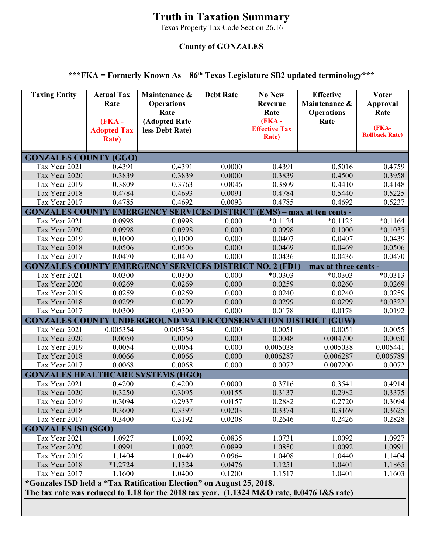## **Truth in Taxation Summary**

Texas Property Tax Code Section 26.16

## **County of GONZALES**

## **\*\*\*FKA = Formerly Known As – 86th Texas Legislature SB2 updated terminology\*\*\***

| <b>Taxing Entity</b>                                                                                                                                               | <b>Actual Tax</b><br>Rate<br>$(FKA -$<br><b>Adopted Tax</b><br><b>Rate</b> ) | Maintenance &<br><b>Operations</b><br>Rate<br>(Adopted Rate<br>less Debt Rate) | <b>Debt Rate</b> | <b>No New</b><br>Revenue<br>Rate<br>$(FKA -$<br><b>Effective Tax</b><br><b>Rate</b> ) | <b>Effective</b><br>Maintenance &<br><b>Operations</b><br>Rate | <b>Voter</b><br><b>Approval</b><br>Rate<br>(FKA-<br><b>Rollback Rate)</b> |  |  |
|--------------------------------------------------------------------------------------------------------------------------------------------------------------------|------------------------------------------------------------------------------|--------------------------------------------------------------------------------|------------------|---------------------------------------------------------------------------------------|----------------------------------------------------------------|---------------------------------------------------------------------------|--|--|
| <b>GONZALES COUNTY (GGO)</b>                                                                                                                                       |                                                                              |                                                                                |                  |                                                                                       |                                                                |                                                                           |  |  |
| Tax Year 2021                                                                                                                                                      | 0.4391                                                                       | 0.4391                                                                         | 0.0000           | 0.4391                                                                                | 0.5016                                                         | 0.4759                                                                    |  |  |
| Tax Year 2020                                                                                                                                                      | 0.3839                                                                       | 0.3839                                                                         | 0.0000           | 0.3839                                                                                | 0.4500                                                         | 0.3958                                                                    |  |  |
| Tax Year 2019                                                                                                                                                      | 0.3809                                                                       | 0.3763                                                                         | 0.0046           | 0.3809                                                                                | 0.4410                                                         | 0.4148                                                                    |  |  |
| Tax Year 2018                                                                                                                                                      | 0.4784                                                                       | 0.4693                                                                         | 0.0091           | 0.4784                                                                                | 0.5440                                                         | 0.5225                                                                    |  |  |
| Tax Year 2017                                                                                                                                                      | 0.4785                                                                       | 0.4692                                                                         | 0.0093           | 0.4785                                                                                | 0.4692                                                         | 0.5237                                                                    |  |  |
| <b>GONZALES COUNTY EMERGENCY</b>                                                                                                                                   |                                                                              |                                                                                |                  |                                                                                       | <b>SERVICES DISTRICT (EMS) – max at ten cents -</b>            |                                                                           |  |  |
| Tax Year 2021                                                                                                                                                      | 0.0998                                                                       | 0.0998                                                                         | 0.000            | $*0.1124$                                                                             | $*0.1125$                                                      | $*0.1164$                                                                 |  |  |
| Tax Year 2020                                                                                                                                                      | 0.0998                                                                       | 0.0998                                                                         | 0.000            | 0.0998                                                                                | 0.1000                                                         | $*0.1035$                                                                 |  |  |
| Tax Year 2019                                                                                                                                                      | 0.1000                                                                       | 0.1000                                                                         | 0.000            | 0.0407                                                                                | 0.0407                                                         | 0.0439                                                                    |  |  |
| Tax Year 2018                                                                                                                                                      | 0.0506                                                                       | 0.0506                                                                         | 0.000            | 0.0469                                                                                | 0.0469                                                         | 0.0506                                                                    |  |  |
| Tax Year 2017                                                                                                                                                      | 0.0470                                                                       | 0.0470                                                                         | 0.000            | 0.0436                                                                                | 0.0436                                                         | 0.0470                                                                    |  |  |
| <b>GONZALES COUNTY</b>                                                                                                                                             |                                                                              | <b>EMERGENCY</b>                                                               |                  |                                                                                       | SERVICES DISTRICT NO. 2 (FD1) – max at three cents -           |                                                                           |  |  |
| Tax Year 2021                                                                                                                                                      | 0.0300                                                                       | 0.0300                                                                         | 0.000            | $*0.0303$                                                                             | $*0.0303$                                                      | $*0.0313$                                                                 |  |  |
| Tax Year 2020                                                                                                                                                      | 0.0269                                                                       | 0.0269                                                                         | 0.000            | 0.0259                                                                                | 0.0260                                                         | 0.0269                                                                    |  |  |
| Tax Year 2019                                                                                                                                                      | 0.0259                                                                       | 0.0259                                                                         | 0.000            | 0.0240                                                                                | 0.0240                                                         | 0.0259                                                                    |  |  |
| Tax Year 2018                                                                                                                                                      | 0.0299                                                                       | 0.0299                                                                         | 0.000            | 0.0299                                                                                | 0.0299                                                         | $*0.0322$                                                                 |  |  |
| Tax Year 2017                                                                                                                                                      | 0.0300                                                                       | 0.0300                                                                         | 0.000            | 0.0178                                                                                | 0.0178                                                         | 0.0192                                                                    |  |  |
| <b>GONZALES COUNTY UNDERGROUND WATER CONSERVATION DISTRICT (GUW)</b>                                                                                               |                                                                              |                                                                                |                  |                                                                                       |                                                                |                                                                           |  |  |
| Tax Year 2021                                                                                                                                                      | 0.005354                                                                     | 0.005354                                                                       | 0.000            | 0.0051                                                                                | 0.0051                                                         | 0.0055                                                                    |  |  |
| Tax Year 2020                                                                                                                                                      | 0.0050                                                                       | 0.0050                                                                         | 0.000            | 0.0048                                                                                | 0.004700                                                       | 0.0050                                                                    |  |  |
| Tax Year 2019                                                                                                                                                      | 0.0054                                                                       | 0.0054                                                                         | 0.000            | 0.005038                                                                              | 0.005038                                                       | 0.005441                                                                  |  |  |
| Tax Year 2018                                                                                                                                                      | 0.0066                                                                       | 0.0066                                                                         | 0.000            | 0.006287                                                                              | 0.006287                                                       | 0.006789                                                                  |  |  |
| Tax Year 2017                                                                                                                                                      | 0.0068                                                                       | 0.0068                                                                         | 0.000            | 0.0072                                                                                | 0.007200                                                       | 0.0072                                                                    |  |  |
| <b>GONZALES HEALTHCARE SYSTEMS (HGO)</b>                                                                                                                           |                                                                              |                                                                                |                  |                                                                                       |                                                                |                                                                           |  |  |
| Tax Year 2021                                                                                                                                                      | 0.4200                                                                       | 0.4200                                                                         | 0.0000           | 0.3716                                                                                | 0.3541                                                         | 0.4914                                                                    |  |  |
| Tax Year 2020                                                                                                                                                      | 0.3250                                                                       | 0.3095                                                                         | 0.0155           | 0.3137                                                                                | 0.2982                                                         | 0.3375                                                                    |  |  |
| Tax Year 2019                                                                                                                                                      | 0.3094                                                                       | 0.2937                                                                         | 0.0157           | 0.2882                                                                                | 0.2720                                                         | 0.3094                                                                    |  |  |
| Tax Year 2018                                                                                                                                                      | 0.3600                                                                       | 0.3397                                                                         | 0.0203           | 0.3374                                                                                | 0.3169                                                         | 0.3625                                                                    |  |  |
| Tax Year 2017                                                                                                                                                      | 0.3400                                                                       | 0.3192                                                                         | 0.0208           | 0.2646                                                                                | 0.2426                                                         | 0.2828                                                                    |  |  |
| <b>GONZALES ISD (SGO)</b>                                                                                                                                          |                                                                              |                                                                                |                  |                                                                                       |                                                                |                                                                           |  |  |
| Tax Year 2021                                                                                                                                                      | 1.0927                                                                       | 1.0092                                                                         | 0.0835           | 1.0731                                                                                | 1.0092                                                         | 1.0927                                                                    |  |  |
| Tax Year 2020                                                                                                                                                      | 1.0991                                                                       | 1.0092                                                                         | 0.0899           | 1.0850                                                                                | 1.0092                                                         | 1.0991                                                                    |  |  |
| Tax Year 2019                                                                                                                                                      | 1.1404                                                                       | 1.0440                                                                         | 0.0964           | 1.0408                                                                                | 1.0440                                                         | 1.1404                                                                    |  |  |
| Tax Year 2018                                                                                                                                                      | $*1.2724$                                                                    | 1.1324                                                                         | 0.0476           | 1.1251                                                                                | 1.0401                                                         | 1.1865                                                                    |  |  |
| Tax Year 2017                                                                                                                                                      | 1.1600                                                                       | 1.0400                                                                         | 0.1200           | 1.1517                                                                                | 1.0401                                                         | 1.1603                                                                    |  |  |
| *Gonzales ISD held a "Tax Ratification Election" on August 25, 2018.<br>The tax rate was reduced to 1.18 for the 2018 tax year. (1.1324 M&O rate, 0.0476 I&S rate) |                                                                              |                                                                                |                  |                                                                                       |                                                                |                                                                           |  |  |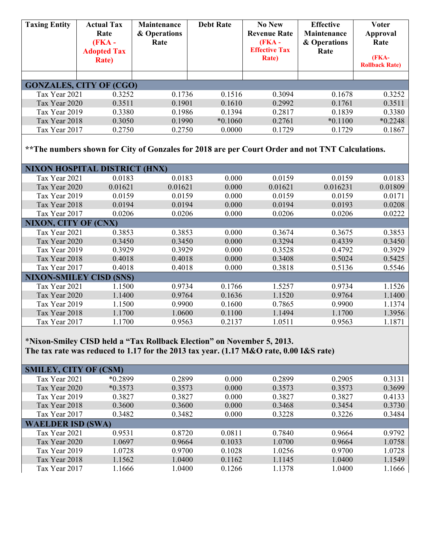| <b>Taxing Entity</b>                                                                                       | <b>Actual Tax</b><br>Rate<br>(FKA -<br><b>Adopted Tax</b><br><b>Rate</b> ) | Maintenance<br>& Operations<br>Rate | <b>Debt Rate</b> | <b>No New</b><br><b>Revenue Rate</b><br>(FKA -<br><b>Effective Tax</b><br><b>Rate</b> ) | <b>Effective</b><br><b>Maintenance</b><br>& Operations<br>Rate | <b>Voter</b><br>Approval<br>Rate<br>(FKA-<br><b>Rollback Rate)</b> |  |  |
|------------------------------------------------------------------------------------------------------------|----------------------------------------------------------------------------|-------------------------------------|------------------|-----------------------------------------------------------------------------------------|----------------------------------------------------------------|--------------------------------------------------------------------|--|--|
|                                                                                                            | <b>GONZALES, CITY OF (CGO)</b>                                             |                                     |                  |                                                                                         |                                                                |                                                                    |  |  |
| Tax Year 2021                                                                                              | 0.3252                                                                     | 0.1736                              | 0.1516           | 0.3094                                                                                  | 0.1678                                                         | 0.3252                                                             |  |  |
| Tax Year 2020                                                                                              | 0.3511                                                                     | 0.1901                              | 0.1610           | 0.2992                                                                                  | 0.1761                                                         | 0.3511                                                             |  |  |
| Tax Year 2019                                                                                              | 0.3380                                                                     | 0.1986                              | 0.1394           | 0.2817                                                                                  | 0.1839                                                         | 0.3380                                                             |  |  |
| Tax Year 2018                                                                                              | 0.3050                                                                     | 0.1990                              | $*0.1060$        | 0.2761                                                                                  | $*0.1100$                                                      | $*0.2248$                                                          |  |  |
| Tax Year 2017                                                                                              | 0.2750                                                                     | 0.2750                              | 0.0000           | 0.1729                                                                                  | 0.1729                                                         | 0.1867                                                             |  |  |
| ** The numbers shown for City of Gonzales for 2018 are per Court Order and not TNT Calculations.           |                                                                            |                                     |                  |                                                                                         |                                                                |                                                                    |  |  |
|                                                                                                            | <b>NIXON HOSPITAL DISTRICT (HNX)</b>                                       |                                     |                  |                                                                                         |                                                                |                                                                    |  |  |
| Tax Year 2021                                                                                              | 0.0183                                                                     | 0.0183                              | 0.000            | 0.0159                                                                                  | 0.0159                                                         | 0.0183                                                             |  |  |
| Tax Year 2020                                                                                              | 0.01621                                                                    | 0.01621                             | 0.000            | 0.01621                                                                                 | 0.016231                                                       | 0.01809                                                            |  |  |
| Tax Year 2019                                                                                              | 0.0159                                                                     | 0.0159                              | 0.000            | 0.0159                                                                                  | 0.0159                                                         | 0.0171                                                             |  |  |
| Tax Year 2018                                                                                              | 0.0194                                                                     | 0.0194                              | 0.000            | 0.0194                                                                                  | 0.0193                                                         | 0.0208                                                             |  |  |
| Tax Year 2017                                                                                              | 0.0206                                                                     | 0.0206                              | 0.000            | 0.0206                                                                                  | 0.0206                                                         | 0.0222                                                             |  |  |
| <b>NIXON, CITY OF (CNX)</b>                                                                                |                                                                            |                                     |                  |                                                                                         |                                                                |                                                                    |  |  |
| Tax Year 2021                                                                                              | 0.3853                                                                     | 0.3853                              | 0.000            | 0.3674                                                                                  | 0.3675                                                         | 0.3853                                                             |  |  |
| Tax Year 2020                                                                                              | 0.3450                                                                     | 0.3450                              | 0.000            | 0.3294                                                                                  | 0.4339                                                         | 0.3450                                                             |  |  |
| Tax Year 2019<br>Tax Year 2018                                                                             | 0.3929                                                                     | 0.3929                              | 0.000            | 0.3528<br>0.3408                                                                        | 0.4792<br>0.5024                                               | 0.3929<br>0.5425                                                   |  |  |
|                                                                                                            | 0.4018                                                                     | 0.4018                              | 0.000            |                                                                                         |                                                                |                                                                    |  |  |
| Tax Year 2017<br>0.4018<br>0.4018<br>0.000<br>0.3818<br>0.5136<br>0.5546<br><b>NIXON-SMILEY CISD (SNS)</b> |                                                                            |                                     |                  |                                                                                         |                                                                |                                                                    |  |  |
|                                                                                                            |                                                                            |                                     |                  |                                                                                         |                                                                |                                                                    |  |  |
| Tax Year 2021<br>Tax Year 2020                                                                             | 1.1500                                                                     | 0.9734<br>0.9764                    | 0.1766<br>0.1636 | 1.5257<br>1.1520                                                                        | 0.9734<br>0.9764                                               | 1.1526                                                             |  |  |
| Tax Year 2019                                                                                              | 1.1400<br>1.1500                                                           | 0.9900                              | 0.1600           | 0.7865                                                                                  | 0.9900                                                         | 1.1400<br>1.1374                                                   |  |  |
| Tax Year 2018                                                                                              | 1.1700                                                                     | 1.0600                              | 0.1100           | 1.1494                                                                                  | 1.1700                                                         | 1.3956                                                             |  |  |
| Tax Year 2017                                                                                              | 1.1700                                                                     | 0.9563                              | 0.2137           | 1.0511                                                                                  | 0.9563                                                         | 1.1871                                                             |  |  |
| *Nixon-Smiley CISD held a "Tax Rollback Election" on November 5, 2013.                                     |                                                                            |                                     |                  |                                                                                         |                                                                |                                                                    |  |  |

**The tax rate was reduced to 1.17 for the 2013 tax year. (1.17 M&O rate, 0.00 I&S rate)** 

| <b>SMILEY, CITY OF (CSM)</b> |           |        |        |        |        |        |
|------------------------------|-----------|--------|--------|--------|--------|--------|
| Tax Year 2021                | $*0.2899$ | 0.2899 | 0.000  | 0.2899 | 0.2905 | 0.3131 |
| Tax Year 2020                | $*0.3573$ | 0.3573 | 0.000  | 0.3573 | 0.3573 | 0.3699 |
| Tax Year 2019                | 0.3827    | 0.3827 | 0.000  | 0.3827 | 0.3827 | 0.4133 |
| Tax Year 2018                | 0.3600    | 0.3600 | 0.000  | 0.3468 | 0.3454 | 0.3730 |
| Tax Year 2017                | 0.3482    | 0.3482 | 0.000  | 0.3228 | 0.3226 | 0.3484 |
| <b>WAELDER ISD (SWA)</b>     |           |        |        |        |        |        |
| Tax Year 2021                | 0.9531    | 0.8720 | 0.0811 | 0.7840 | 0.9664 | 0.9792 |
| Tax Year 2020                | 1.0697    | 0.9664 | 0.1033 | 1.0700 | 0.9664 | 1.0758 |
| Tax Year 2019                | 1.0728    | 0.9700 | 0.1028 | 1.0256 | 0.9700 | 1.0728 |
| Tax Year 2018                | 1.1562    | 1.0400 | 0.1162 | 1.1145 | 1.0400 | 1.1549 |
| Tax Year 2017                | 1.1666    | 1.0400 | 0.1266 | 1.1378 | 1.0400 | 1.1666 |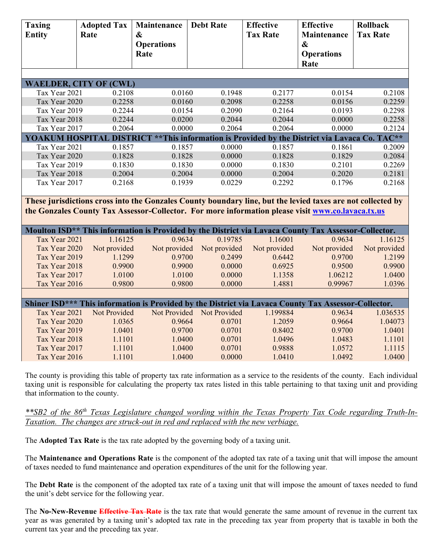| <b>Taxing</b><br><b>Entity</b>                                                                       | <b>Adopted Tax</b><br>Rate    | Maintenance<br>$\boldsymbol{\&}$<br><b>Operations</b><br>Rate                                               | <b>Debt Rate</b> | <b>Effective</b><br><b>Tax Rate</b> | <b>Effective</b><br>Maintenance<br>$\boldsymbol{\&}$<br><b>Operations</b><br>Rate | Rollback<br><b>Tax Rate</b> |  |  |
|------------------------------------------------------------------------------------------------------|-------------------------------|-------------------------------------------------------------------------------------------------------------|------------------|-------------------------------------|-----------------------------------------------------------------------------------|-----------------------------|--|--|
|                                                                                                      |                               |                                                                                                             |                  |                                     |                                                                                   |                             |  |  |
|                                                                                                      | <b>WAELDER, CITY OF (CWL)</b> |                                                                                                             |                  |                                     |                                                                                   |                             |  |  |
| Tax Year 2021                                                                                        | 0.2108                        | 0.0160                                                                                                      | 0.1948           | 0.2177                              | 0.0154                                                                            | 0.2108                      |  |  |
| Tax Year 2020                                                                                        | 0.2258                        | 0.0160                                                                                                      | 0.2098           | 0.2258                              | 0.0156                                                                            | 0.2259                      |  |  |
| Tax Year 2019                                                                                        | 0.2244                        | 0.0154                                                                                                      | 0.2090           | 0.2164                              | 0.0193                                                                            | 0.2298                      |  |  |
| Tax Year 2018                                                                                        | 0.2244                        | 0.0200                                                                                                      | 0.2044           | 0.2044                              | 0.0000                                                                            | 0.2258                      |  |  |
| Tax Year 2017                                                                                        | 0.2064                        | 0.0000                                                                                                      | 0.2064           | 0.2064                              | 0.0000                                                                            | 0.2124                      |  |  |
|                                                                                                      |                               | YOAKUM HOSPITAL DISTRICT ** This information is Provided by the District via Lavaca Co. TAC**               |                  |                                     |                                                                                   |                             |  |  |
| Tax Year 2021                                                                                        | 0.1857                        | 0.1857                                                                                                      | 0.0000           | 0.1857                              | 0.1861                                                                            | 0.2009                      |  |  |
| Tax Year 2020                                                                                        | 0.1828                        | 0.1828                                                                                                      | 0.0000           | 0.1828                              | 0.1829                                                                            | 0.2084                      |  |  |
| Tax Year 2019                                                                                        | 0.1830                        | 0.1830                                                                                                      | 0.0000           | 0.1830                              | 0.2101                                                                            | 0.2269                      |  |  |
| Tax Year 2018                                                                                        | 0.2004                        | 0.2004                                                                                                      | 0.0000           | 0.2004                              | 0.2020                                                                            | 0.2181                      |  |  |
| Tax Year 2017                                                                                        | 0.2168                        | 0.1939                                                                                                      | 0.0229           | 0.2292                              | 0.1796                                                                            | 0.2168                      |  |  |
|                                                                                                      |                               |                                                                                                             |                  |                                     |                                                                                   |                             |  |  |
|                                                                                                      |                               | These jurisdictions cross into the Gonzales County boundary line, but the levied taxes are not collected by |                  |                                     |                                                                                   |                             |  |  |
|                                                                                                      |                               | the Gonzales County Tax Assessor-Collector. For more information please visit www.co.lavaca.tx.us           |                  |                                     |                                                                                   |                             |  |  |
|                                                                                                      |                               |                                                                                                             |                  |                                     |                                                                                   |                             |  |  |
|                                                                                                      |                               | Moulton ISD** This information is Provided by the District via Lavaca County Tax Assessor-Collector.        |                  |                                     |                                                                                   |                             |  |  |
| Tax Year 2021                                                                                        | 1.16125                       | 0.9634                                                                                                      | 0.19785          | 1.16001                             | 0.9634                                                                            | 1.16125                     |  |  |
| Tax Year 2020                                                                                        | Not provided                  | Not provided                                                                                                | Not provided     | Not provided                        | Not provided                                                                      | Not provided                |  |  |
| Tax Year 2019                                                                                        | 1.1299                        | 0.9700                                                                                                      | 0.2499           | 0.6442                              | 0.9700                                                                            | 1.2199                      |  |  |
| Tax Year 2018                                                                                        | 0.9900                        | 0.9900                                                                                                      | 0.0000           | 0.6925                              | 0.9500                                                                            | 0.9900                      |  |  |
| Tax Year 2017                                                                                        | 1.0100                        | 1.0100                                                                                                      | 0.0000           | 1.1358                              | 1.06212                                                                           | 1.0400                      |  |  |
| Tax Year 2016                                                                                        | 0.9800                        | 0.9800                                                                                                      | 0.0000           | 1.4881                              | 0.99967                                                                           | 1.0396                      |  |  |
|                                                                                                      |                               |                                                                                                             |                  |                                     |                                                                                   |                             |  |  |
| Shiner ISD*** This information is Provided by the District via Lavaca County Tax Assessor-Collector. |                               |                                                                                                             |                  |                                     |                                                                                   |                             |  |  |
| Tax Year 2021                                                                                        | Not Provided                  | Not Provided                                                                                                | Not Provided     | 1.199884                            | 0.9634                                                                            | 1.036535                    |  |  |
| Tax Year 2020                                                                                        | 1.0365                        | 0.9664                                                                                                      | 0.0701           | 1.2059                              | 0.9664                                                                            | 1.04073                     |  |  |
| Tax Year 2019                                                                                        | 1.0401                        | 0.9700                                                                                                      | 0.0701           | 0.8402                              | 0.9700                                                                            | 1.0401                      |  |  |
| Tax Year 2018                                                                                        | 1.1101                        | 1.0400                                                                                                      | 0.0701           | 1.0496                              | 1.0483                                                                            | 1.1101                      |  |  |
| Tax Year 2017                                                                                        | 1.1101                        | 1.0400                                                                                                      | 0.0701           | 0.9888                              | 1.0572                                                                            | 1.1115                      |  |  |
| Tax Year 2016                                                                                        | 1.1101                        | 1.0400                                                                                                      | 0.0000           | 1.0410                              | 1.0492                                                                            | 1.0400                      |  |  |

The county is providing this table of property tax rate information as a service to the residents of the county. Each individual taxing unit is responsible for calculating the property tax rates listed in this table pertaining to that taxing unit and providing that information to the county.

*\*\*SB2 of the 86th Texas Legislature changed wording within the Texas Property Tax Code regarding Truth-In-Taxation. The changes are struck-out in red and replaced with the new verbiage.* 

The **Adopted Tax Rate** is the tax rate adopted by the governing body of a taxing unit.

The **Maintenance and Operations Rate** is the component of the adopted tax rate of a taxing unit that will impose the amount of taxes needed to fund maintenance and operation expenditures of the unit for the following year.

The **Debt Rate** is the component of the adopted tax rate of a taxing unit that will impose the amount of taxes needed to fund the unit's debt service for the following year.

The **No-New-Revenue Effective Tax Rate** is the tax rate that would generate the same amount of revenue in the current tax year as was generated by a taxing unit's adopted tax rate in the preceding tax year from property that is taxable in both the current tax year and the preceding tax year.